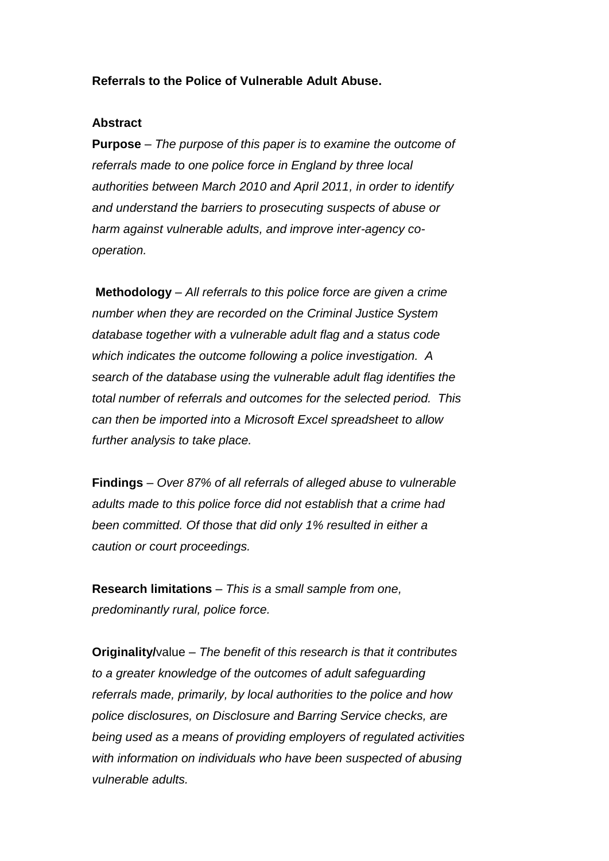## **Referrals to the Police of Vulnerable Adult Abuse.**

#### **Abstract**

**Purpose** – *The purpose of this paper is to examine the outcome of referrals made to one police force in England by three local authorities between March 2010 and April 2011, in order to identify and understand the barriers to prosecuting suspects of abuse or harm against vulnerable adults, and improve inter-agency cooperation.*

**Methodology** – *All referrals to this police force are given a crime number when they are recorded on the Criminal Justice System database together with a vulnerable adult flag and a status code which indicates the outcome following a police investigation. A search of the database using the vulnerable adult flag identifies the total number of referrals and outcomes for the selected period. This can then be imported into a Microsoft Excel spreadsheet to allow further analysis to take place.*

**Findings** – *Over 87% of all referrals of alleged abuse to vulnerable adults made to this police force did not establish that a crime had been committed. Of those that did only 1% resulted in either a caution or court proceedings.* 

**Research limitations** – *This is a small sample from one, predominantly rural, police force.*

**Originality/**value – *The benefit of this research is that it contributes to a greater knowledge of the outcomes of adult safeguarding referrals made, primarily, by local authorities to the police and how police disclosures, on Disclosure and Barring Service checks, are being used as a means of providing employers of regulated activities with information on individuals who have been suspected of abusing vulnerable adults.*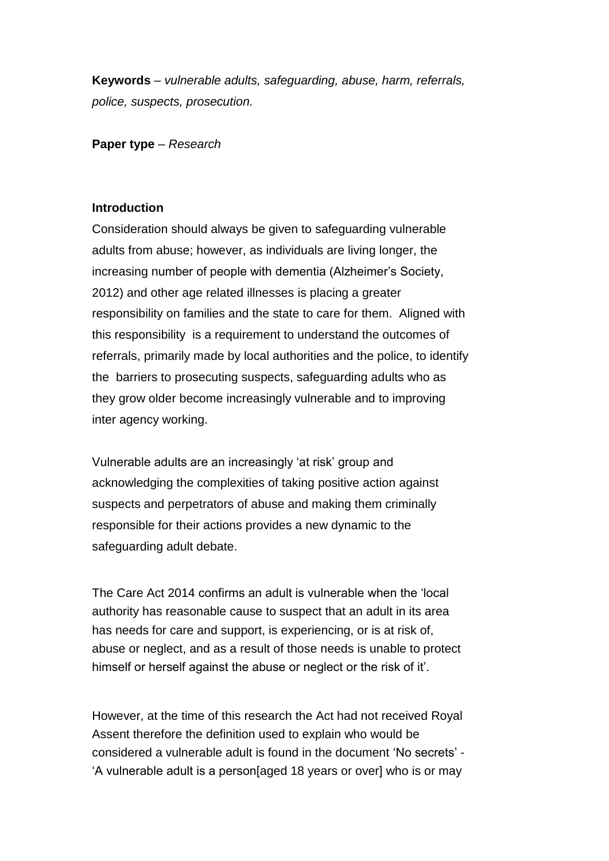**Keywords** – *vulnerable adults, safeguarding, abuse, harm, referrals, police, suspects, prosecution.* 

**Paper type** – *Research* 

## **Introduction**

Consideration should always be given to safeguarding vulnerable adults from abuse; however, as individuals are living longer, the increasing number of people with dementia (Alzheimer's Society, 2012) and other age related illnesses is placing a greater responsibility on families and the state to care for them. Aligned with this responsibility is a requirement to understand the outcomes of referrals, primarily made by local authorities and the police, to identify the barriers to prosecuting suspects, safeguarding adults who as they grow older become increasingly vulnerable and to improving inter agency working.

Vulnerable adults are an increasingly 'at risk' group and acknowledging the complexities of taking positive action against suspects and perpetrators of abuse and making them criminally responsible for their actions provides a new dynamic to the safeguarding adult debate.

The Care Act 2014 confirms an adult is vulnerable when the 'local authority has reasonable cause to suspect that an adult in its area has needs for care and support, is experiencing, or is at risk of, abuse or neglect, and as a result of those needs is unable to protect himself or herself against the abuse or neglect or the risk of it'.

However, at the time of this research the Act had not received Royal Assent therefore the definition used to explain who would be considered a vulnerable adult is found in the document 'No secrets' - 'A vulnerable adult is a person[aged 18 years or over] who is or may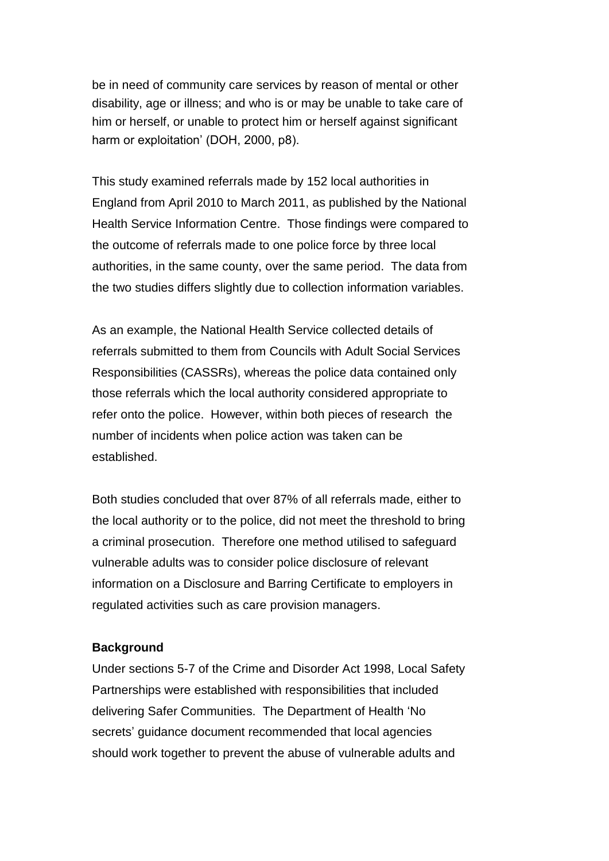be in need of community care services by reason of mental or other disability, age or illness; and who is or may be unable to take care of him or herself, or unable to protect him or herself against significant harm or exploitation' (DOH, 2000, p8).

This study examined referrals made by 152 local authorities in England from April 2010 to March 2011, as published by the National Health Service Information Centre. Those findings were compared to the outcome of referrals made to one police force by three local authorities, in the same county, over the same period. The data from the two studies differs slightly due to collection information variables.

As an example, the National Health Service collected details of referrals submitted to them from Councils with Adult Social Services Responsibilities (CASSRs), whereas the police data contained only those referrals which the local authority considered appropriate to refer onto the police. However, within both pieces of research the number of incidents when police action was taken can be established.

Both studies concluded that over 87% of all referrals made, either to the local authority or to the police, did not meet the threshold to bring a criminal prosecution. Therefore one method utilised to safeguard vulnerable adults was to consider police disclosure of relevant information on a Disclosure and Barring Certificate to employers in regulated activities such as care provision managers.

#### **Background**

Under sections 5-7 of the Crime and Disorder Act 1998, Local Safety Partnerships were established with responsibilities that included delivering Safer Communities. The Department of Health 'No secrets' guidance document recommended that local agencies should work together to prevent the abuse of vulnerable adults and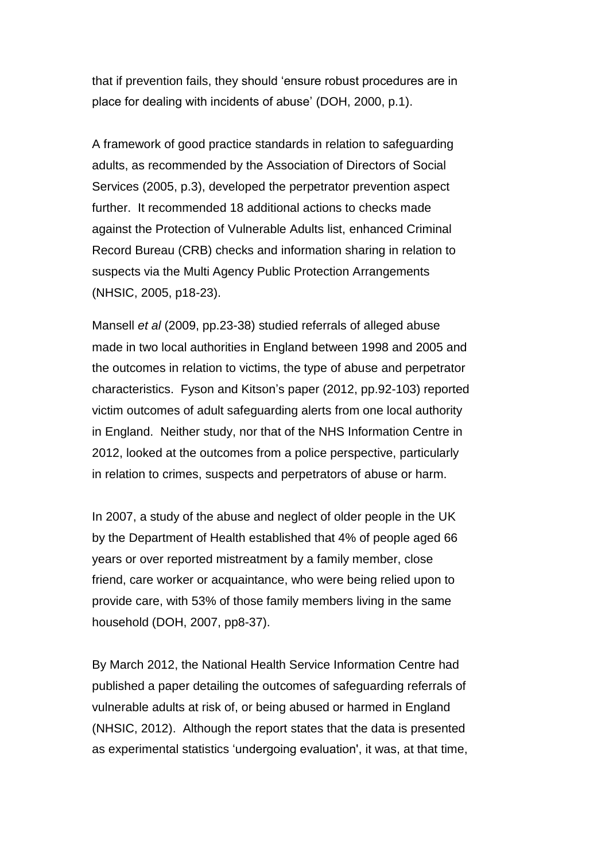that if prevention fails, they should 'ensure robust procedures are in place for dealing with incidents of abuse' (DOH, 2000, p.1).

A framework of good practice standards in relation to safeguarding adults, as recommended by the Association of Directors of Social Services (2005, p.3), developed the perpetrator prevention aspect further. It recommended 18 additional actions to checks made against the Protection of Vulnerable Adults list, enhanced Criminal Record Bureau (CRB) checks and information sharing in relation to suspects via the Multi Agency Public Protection Arrangements (NHSIC, 2005, p18-23).

Mansell *et al* (2009, pp.23-38) studied referrals of alleged abuse made in two local authorities in England between 1998 and 2005 and the outcomes in relation to victims, the type of abuse and perpetrator characteristics. Fyson and Kitson's paper (2012, pp.92-103) reported victim outcomes of adult safeguarding alerts from one local authority in England. Neither study, nor that of the NHS Information Centre in 2012, looked at the outcomes from a police perspective, particularly in relation to crimes, suspects and perpetrators of abuse or harm.

In 2007, a study of the abuse and neglect of older people in the UK by the Department of Health established that 4% of people aged 66 years or over reported mistreatment by a family member, close friend, care worker or acquaintance, who were being relied upon to provide care, with 53% of those family members living in the same household (DOH, 2007, pp8-37).

By March 2012, the National Health Service Information Centre had published a paper detailing the outcomes of safeguarding referrals of vulnerable adults at risk of, or being abused or harmed in England (NHSIC, 2012). Although the report states that the data is presented as experimental statistics 'undergoing evaluation', it was, at that time,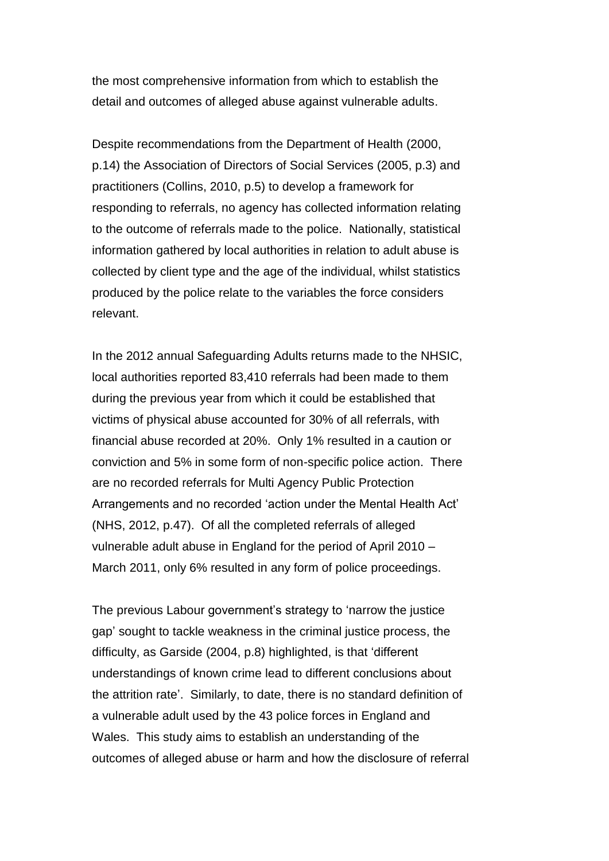the most comprehensive information from which to establish the detail and outcomes of alleged abuse against vulnerable adults.

Despite recommendations from the Department of Health (2000, p.14) the Association of Directors of Social Services (2005, p.3) and practitioners (Collins, 2010, p.5) to develop a framework for responding to referrals, no agency has collected information relating to the outcome of referrals made to the police. Nationally, statistical information gathered by local authorities in relation to adult abuse is collected by client type and the age of the individual, whilst statistics produced by the police relate to the variables the force considers relevant.

In the 2012 annual Safeguarding Adults returns made to the NHSIC, local authorities reported 83,410 referrals had been made to them during the previous year from which it could be established that victims of physical abuse accounted for 30% of all referrals, with financial abuse recorded at 20%. Only 1% resulted in a caution or conviction and 5% in some form of non-specific police action. There are no recorded referrals for Multi Agency Public Protection Arrangements and no recorded 'action under the Mental Health Act' (NHS, 2012, p.47). Of all the completed referrals of alleged vulnerable adult abuse in England for the period of April 2010 – March 2011, only 6% resulted in any form of police proceedings.

The previous Labour government's strategy to 'narrow the justice gap' sought to tackle weakness in the criminal justice process, the difficulty, as Garside (2004, p.8) highlighted, is that 'different understandings of known crime lead to different conclusions about the attrition rate'. Similarly, to date, there is no standard definition of a vulnerable adult used by the 43 police forces in England and Wales. This study aims to establish an understanding of the outcomes of alleged abuse or harm and how the disclosure of referral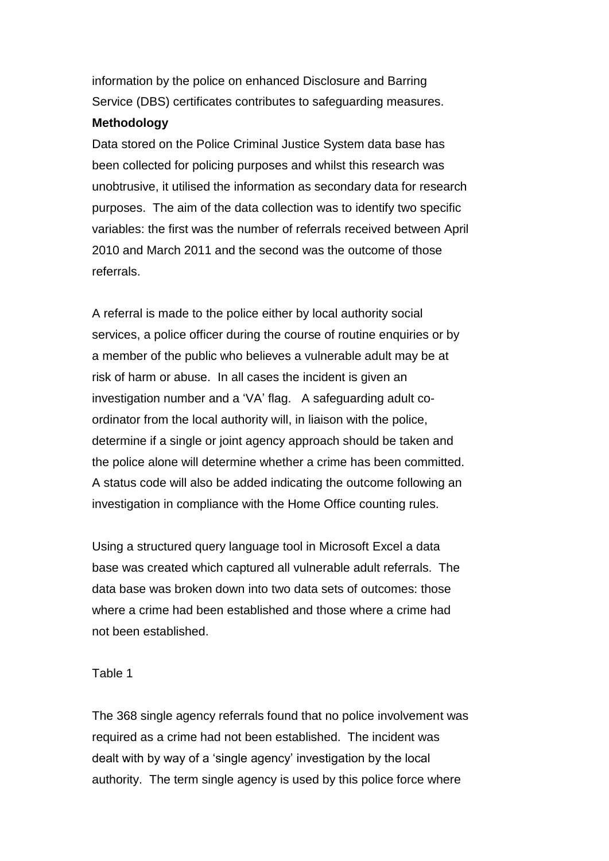information by the police on enhanced Disclosure and Barring Service (DBS) certificates contributes to safeguarding measures.

## **Methodology**

Data stored on the Police Criminal Justice System data base has been collected for policing purposes and whilst this research was unobtrusive, it utilised the information as secondary data for research purposes. The aim of the data collection was to identify two specific variables: the first was the number of referrals received between April 2010 and March 2011 and the second was the outcome of those referrals.

A referral is made to the police either by local authority social services, a police officer during the course of routine enquiries or by a member of the public who believes a vulnerable adult may be at risk of harm or abuse. In all cases the incident is given an investigation number and a 'VA' flag. A safeguarding adult coordinator from the local authority will, in liaison with the police, determine if a single or joint agency approach should be taken and the police alone will determine whether a crime has been committed. A status code will also be added indicating the outcome following an investigation in compliance with the Home Office counting rules.

Using a structured query language tool in Microsoft Excel a data base was created which captured all vulnerable adult referrals. The data base was broken down into two data sets of outcomes: those where a crime had been established and those where a crime had not been established.

#### Table 1

The 368 single agency referrals found that no police involvement was required as a crime had not been established. The incident was dealt with by way of a 'single agency' investigation by the local authority. The term single agency is used by this police force where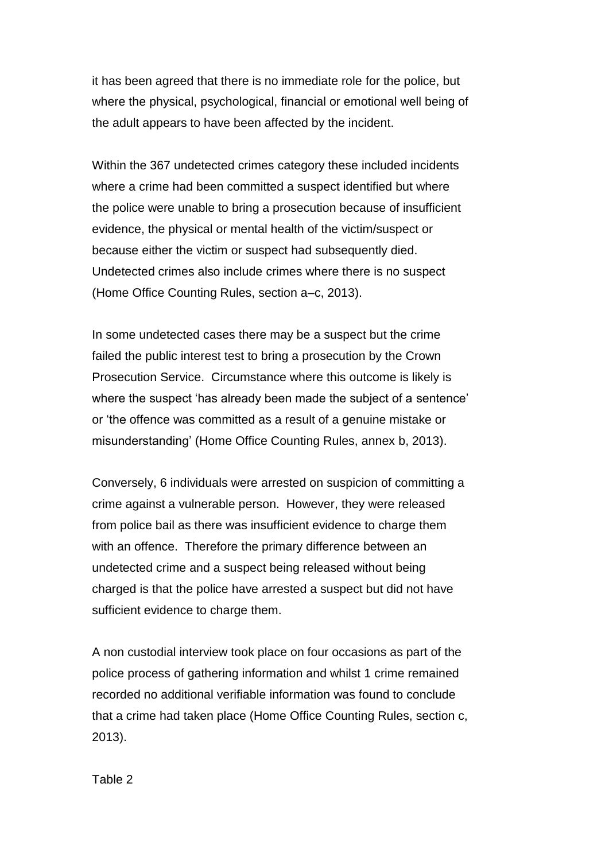it has been agreed that there is no immediate role for the police, but where the physical, psychological, financial or emotional well being of the adult appears to have been affected by the incident.

Within the 367 undetected crimes category these included incidents where a crime had been committed a suspect identified but where the police were unable to bring a prosecution because of insufficient evidence, the physical or mental health of the victim/suspect or because either the victim or suspect had subsequently died. Undetected crimes also include crimes where there is no suspect (Home Office Counting Rules, section a–c, 2013).

In some undetected cases there may be a suspect but the crime failed the public interest test to bring a prosecution by the Crown Prosecution Service. Circumstance where this outcome is likely is where the suspect 'has already been made the subject of a sentence' or 'the offence was committed as a result of a genuine mistake or misunderstanding' (Home Office Counting Rules, annex b, 2013).

Conversely, 6 individuals were arrested on suspicion of committing a crime against a vulnerable person. However, they were released from police bail as there was insufficient evidence to charge them with an offence. Therefore the primary difference between an undetected crime and a suspect being released without being charged is that the police have arrested a suspect but did not have sufficient evidence to charge them.

A non custodial interview took place on four occasions as part of the police process of gathering information and whilst 1 crime remained recorded no additional verifiable information was found to conclude that a crime had taken place (Home Office Counting Rules, section c, 2013).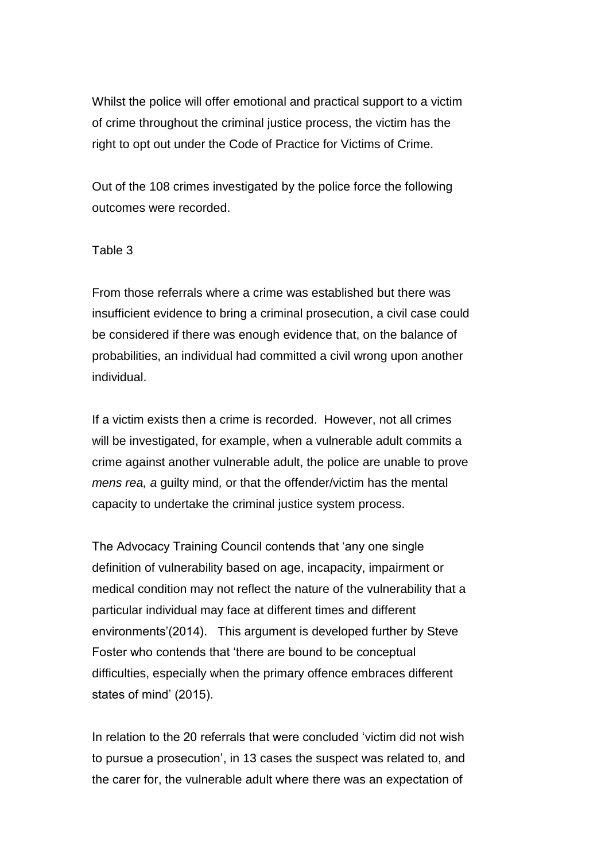Whilst the police will offer emotional and practical support to a victim of crime throughout the criminal justice process, the victim has the right to opt out under the Code of Practice for Victims of Crime.

Out of the 108 crimes investigated by the police force the following outcomes were recorded.

## Table 3

From those referrals where a crime was established but there was insufficient evidence to bring a criminal prosecution, a civil case could be considered if there was enough evidence that, on the balance of probabilities, an individual had committed a civil wrong upon another individual.

If a victim exists then a crime is recorded. However, not all crimes will be investigated, for example, when a vulnerable adult commits a crime against another vulnerable adult, the police are unable to prove *mens rea, a* guilty mind*,* or that the offender/victim has the mental capacity to undertake the criminal justice system process.

The Advocacy Training Council contends that 'any one single definition of vulnerability based on age, incapacity, impairment or medical condition may not reflect the nature of the vulnerability that a particular individual may face at different times and different environments'(2014). This argument is developed further by Steve Foster who contends that 'there are bound to be conceptual difficulties, especially when the primary offence embraces different states of mind' (2015).

In relation to the 20 referrals that were concluded 'victim did not wish to pursue a prosecution', in 13 cases the suspect was related to, and the carer for, the vulnerable adult where there was an expectation of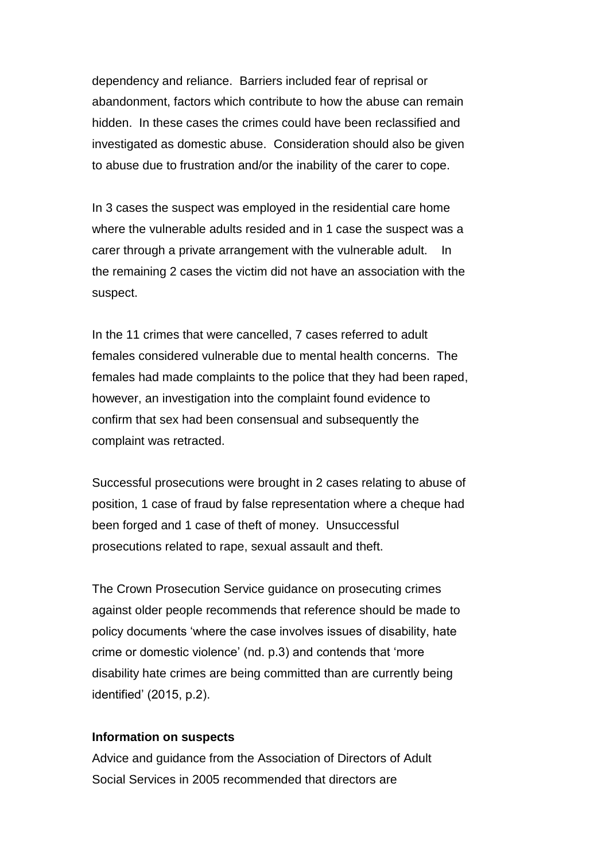dependency and reliance. Barriers included fear of reprisal or abandonment, factors which contribute to how the abuse can remain hidden. In these cases the crimes could have been reclassified and investigated as domestic abuse. Consideration should also be given to abuse due to frustration and/or the inability of the carer to cope.

In 3 cases the suspect was employed in the residential care home where the vulnerable adults resided and in 1 case the suspect was a carer through a private arrangement with the vulnerable adult. In the remaining 2 cases the victim did not have an association with the suspect.

In the 11 crimes that were cancelled, 7 cases referred to adult females considered vulnerable due to mental health concerns. The females had made complaints to the police that they had been raped, however, an investigation into the complaint found evidence to confirm that sex had been consensual and subsequently the complaint was retracted.

Successful prosecutions were brought in 2 cases relating to abuse of position, 1 case of fraud by false representation where a cheque had been forged and 1 case of theft of money. Unsuccessful prosecutions related to rape, sexual assault and theft.

The Crown Prosecution Service guidance on prosecuting crimes against older people recommends that reference should be made to policy documents 'where the case involves issues of disability, hate crime or domestic violence' (nd. p.3) and contends that 'more disability hate crimes are being committed than are currently being identified' (2015, p.2).

#### **Information on suspects**

Advice and guidance from the Association of Directors of Adult Social Services in 2005 recommended that directors are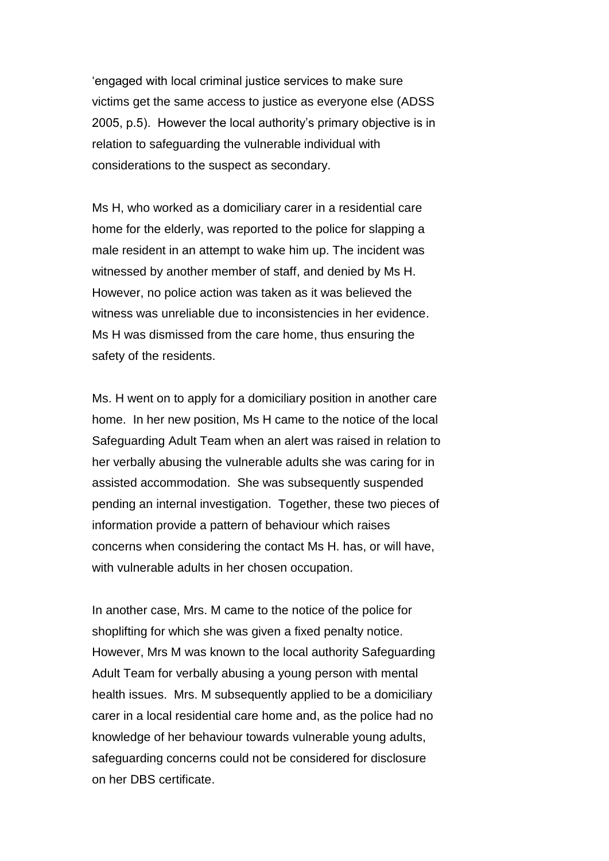'engaged with local criminal justice services to make sure victims get the same access to justice as everyone else (ADSS 2005, p.5). However the local authority's primary objective is in relation to safeguarding the vulnerable individual with considerations to the suspect as secondary.

Ms H, who worked as a domiciliary carer in a residential care home for the elderly, was reported to the police for slapping a male resident in an attempt to wake him up. The incident was witnessed by another member of staff, and denied by Ms H. However, no police action was taken as it was believed the witness was unreliable due to inconsistencies in her evidence. Ms H was dismissed from the care home, thus ensuring the safety of the residents.

Ms. H went on to apply for a domiciliary position in another care home. In her new position, Ms H came to the notice of the local Safeguarding Adult Team when an alert was raised in relation to her verbally abusing the vulnerable adults she was caring for in assisted accommodation. She was subsequently suspended pending an internal investigation. Together, these two pieces of information provide a pattern of behaviour which raises concerns when considering the contact Ms H. has, or will have, with vulnerable adults in her chosen occupation.

In another case, Mrs. M came to the notice of the police for shoplifting for which she was given a fixed penalty notice. However, Mrs M was known to the local authority Safeguarding Adult Team for verbally abusing a young person with mental health issues. Mrs. M subsequently applied to be a domiciliary carer in a local residential care home and, as the police had no knowledge of her behaviour towards vulnerable young adults, safeguarding concerns could not be considered for disclosure on her DBS certificate.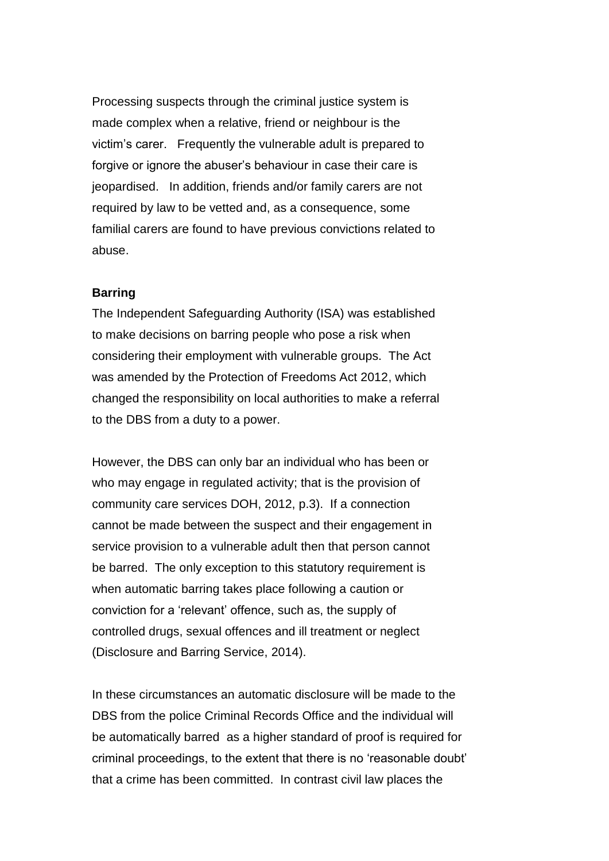Processing suspects through the criminal justice system is made complex when a relative, friend or neighbour is the victim's carer. Frequently the vulnerable adult is prepared to forgive or ignore the abuser's behaviour in case their care is jeopardised. In addition, friends and/or family carers are not required by law to be vetted and, as a consequence, some familial carers are found to have previous convictions related to abuse.

#### **Barring**

The Independent Safeguarding Authority (ISA) was established to make decisions on barring people who pose a risk when considering their employment with vulnerable groups. The Act was amended by the Protection of Freedoms Act 2012, which changed the responsibility on local authorities to make a referral to the DBS from a duty to a power.

However, the DBS can only bar an individual who has been or who may engage in regulated activity; that is the provision of community care services DOH, 2012, p.3). If a connection cannot be made between the suspect and their engagement in service provision to a vulnerable adult then that person cannot be barred. The only exception to this statutory requirement is when automatic barring takes place following a caution or conviction for a 'relevant' offence, such as, the supply of controlled drugs, sexual offences and ill treatment or neglect (Disclosure and Barring Service, 2014).

In these circumstances an automatic disclosure will be made to the DBS from the police Criminal Records Office and the individual will be automatically barred as a higher standard of proof is required for criminal proceedings, to the extent that there is no 'reasonable doubt' that a crime has been committed. In contrast civil law places the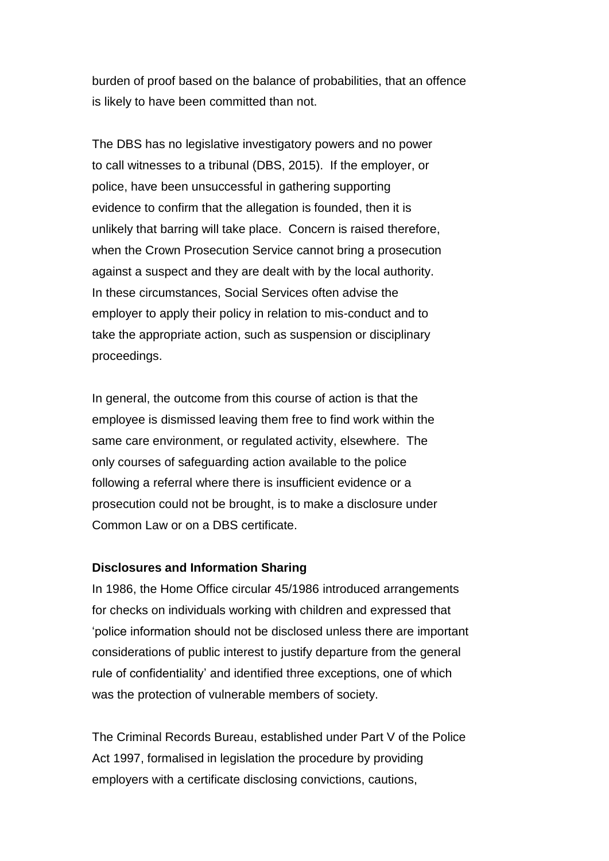burden of proof based on the balance of probabilities, that an offence is likely to have been committed than not.

The DBS has no legislative investigatory powers and no power to call witnesses to a tribunal (DBS, 2015). If the employer, or police, have been unsuccessful in gathering supporting evidence to confirm that the allegation is founded, then it is unlikely that barring will take place. Concern is raised therefore, when the Crown Prosecution Service cannot bring a prosecution against a suspect and they are dealt with by the local authority. In these circumstances, Social Services often advise the employer to apply their policy in relation to mis-conduct and to take the appropriate action, such as suspension or disciplinary proceedings.

In general, the outcome from this course of action is that the employee is dismissed leaving them free to find work within the same care environment, or regulated activity, elsewhere. The only courses of safeguarding action available to the police following a referral where there is insufficient evidence or a prosecution could not be brought, is to make a disclosure under Common Law or on a DBS certificate.

#### **Disclosures and Information Sharing**

In 1986, the Home Office circular 45/1986 introduced arrangements for checks on individuals working with children and expressed that 'police information should not be disclosed unless there are important considerations of public interest to justify departure from the general rule of confidentiality' and identified three exceptions, one of which was the protection of vulnerable members of society.

The Criminal Records Bureau, established under Part V of the Police Act 1997, formalised in legislation the procedure by providing employers with a certificate disclosing convictions, cautions,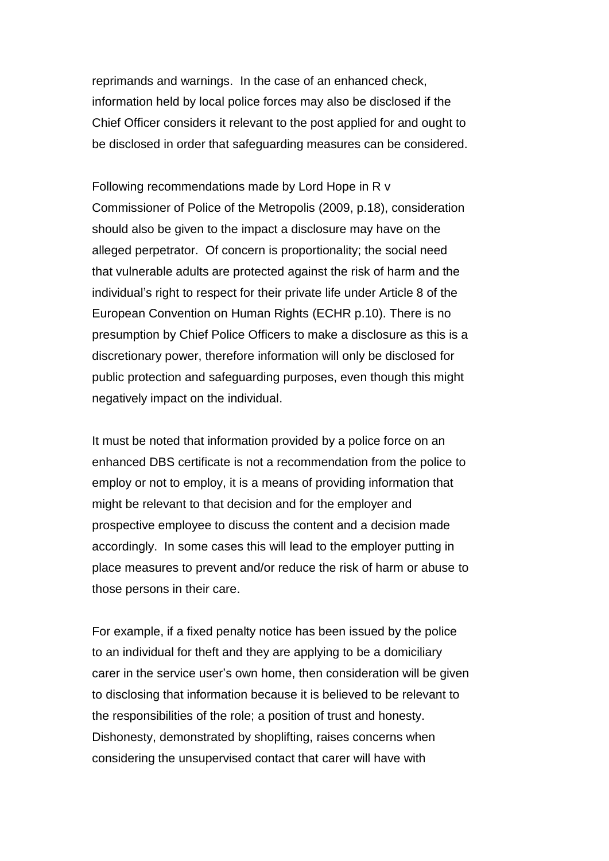reprimands and warnings. In the case of an enhanced check, information held by local police forces may also be disclosed if the Chief Officer considers it relevant to the post applied for and ought to be disclosed in order that safeguarding measures can be considered.

Following recommendations made by Lord Hope in R v Commissioner of Police of the Metropolis (2009, p.18), consideration should also be given to the impact a disclosure may have on the alleged perpetrator. Of concern is proportionality; the social need that vulnerable adults are protected against the risk of harm and the individual's right to respect for their private life under Article 8 of the European Convention on Human Rights (ECHR p.10). There is no presumption by Chief Police Officers to make a disclosure as this is a discretionary power, therefore information will only be disclosed for public protection and safeguarding purposes, even though this might negatively impact on the individual.

It must be noted that information provided by a police force on an enhanced DBS certificate is not a recommendation from the police to employ or not to employ, it is a means of providing information that might be relevant to that decision and for the employer and prospective employee to discuss the content and a decision made accordingly. In some cases this will lead to the employer putting in place measures to prevent and/or reduce the risk of harm or abuse to those persons in their care.

For example, if a fixed penalty notice has been issued by the police to an individual for theft and they are applying to be a domiciliary carer in the service user's own home, then consideration will be given to disclosing that information because it is believed to be relevant to the responsibilities of the role; a position of trust and honesty. Dishonesty, demonstrated by shoplifting, raises concerns when considering the unsupervised contact that carer will have with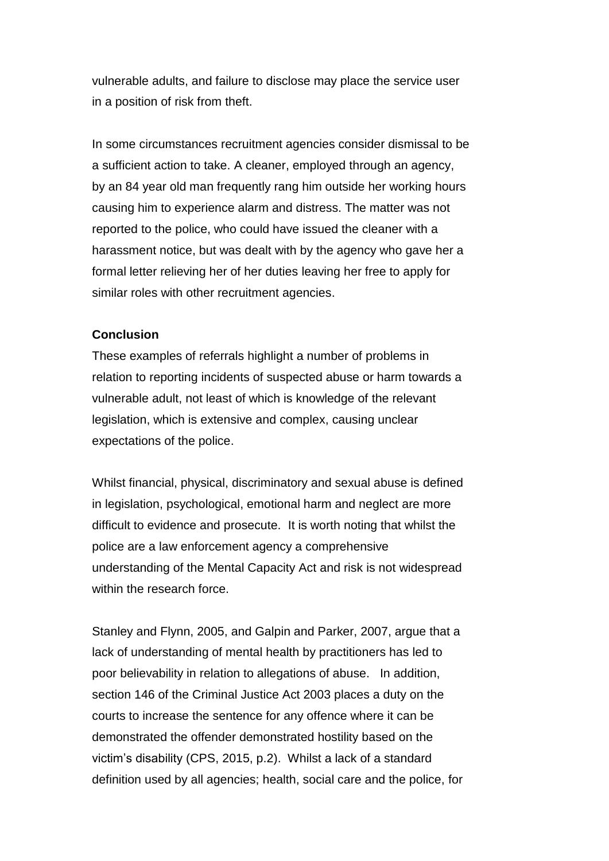vulnerable adults, and failure to disclose may place the service user in a position of risk from theft.

In some circumstances recruitment agencies consider dismissal to be a sufficient action to take. A cleaner, employed through an agency, by an 84 year old man frequently rang him outside her working hours causing him to experience alarm and distress. The matter was not reported to the police, who could have issued the cleaner with a harassment notice, but was dealt with by the agency who gave her a formal letter relieving her of her duties leaving her free to apply for similar roles with other recruitment agencies.

## **Conclusion**

These examples of referrals highlight a number of problems in relation to reporting incidents of suspected abuse or harm towards a vulnerable adult, not least of which is knowledge of the relevant legislation, which is extensive and complex, causing unclear expectations of the police.

Whilst financial, physical, discriminatory and sexual abuse is defined in legislation, psychological, emotional harm and neglect are more difficult to evidence and prosecute. It is worth noting that whilst the police are a law enforcement agency a comprehensive understanding of the Mental Capacity Act and risk is not widespread within the research force.

Stanley and Flynn, 2005, and Galpin and Parker, 2007, argue that a lack of understanding of mental health by practitioners has led to poor believability in relation to allegations of abuse. In addition, section 146 of the Criminal Justice Act 2003 places a duty on the courts to increase the sentence for any offence where it can be demonstrated the offender demonstrated hostility based on the victim's disability (CPS, 2015, p.2). Whilst a lack of a standard definition used by all agencies; health, social care and the police, for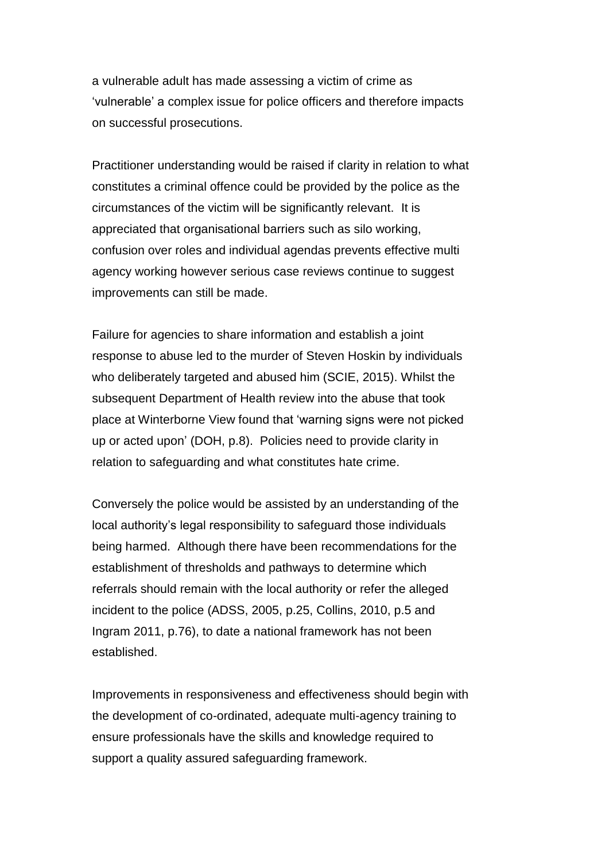a vulnerable adult has made assessing a victim of crime as 'vulnerable' a complex issue for police officers and therefore impacts on successful prosecutions.

Practitioner understanding would be raised if clarity in relation to what constitutes a criminal offence could be provided by the police as the circumstances of the victim will be significantly relevant. It is appreciated that organisational barriers such as silo working, confusion over roles and individual agendas prevents effective multi agency working however serious case reviews continue to suggest improvements can still be made.

Failure for agencies to share information and establish a joint response to abuse led to the murder of Steven Hoskin by individuals who deliberately targeted and abused him (SCIE, 2015). Whilst the subsequent Department of Health review into the abuse that took place at Winterborne View found that 'warning signs were not picked up or acted upon' (DOH, p.8). Policies need to provide clarity in relation to safeguarding and what constitutes hate crime.

Conversely the police would be assisted by an understanding of the local authority's legal responsibility to safeguard those individuals being harmed. Although there have been recommendations for the establishment of thresholds and pathways to determine which referrals should remain with the local authority or refer the alleged incident to the police (ADSS, 2005, p.25, Collins, 2010, p.5 and Ingram 2011, p.76), to date a national framework has not been established.

Improvements in responsiveness and effectiveness should begin with the development of co-ordinated, adequate multi-agency training to ensure professionals have the skills and knowledge required to support a quality assured safeguarding framework.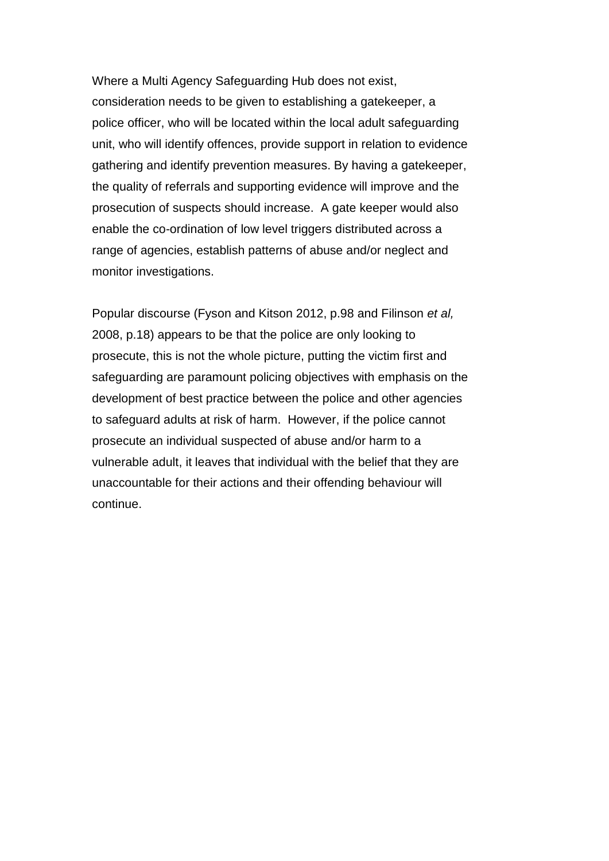Where a Multi Agency Safeguarding Hub does not exist, consideration needs to be given to establishing a gatekeeper, a police officer, who will be located within the local adult safeguarding unit, who will identify offences, provide support in relation to evidence gathering and identify prevention measures. By having a gatekeeper, the quality of referrals and supporting evidence will improve and the prosecution of suspects should increase. A gate keeper would also enable the co-ordination of low level triggers distributed across a range of agencies, establish patterns of abuse and/or neglect and monitor investigations.

Popular discourse (Fyson and Kitson 2012, p.98 and Filinson *et al,*  2008, p.18) appears to be that the police are only looking to prosecute, this is not the whole picture, putting the victim first and safeguarding are paramount policing objectives with emphasis on the development of best practice between the police and other agencies to safeguard adults at risk of harm. However, if the police cannot prosecute an individual suspected of abuse and/or harm to a vulnerable adult, it leaves that individual with the belief that they are unaccountable for their actions and their offending behaviour will continue.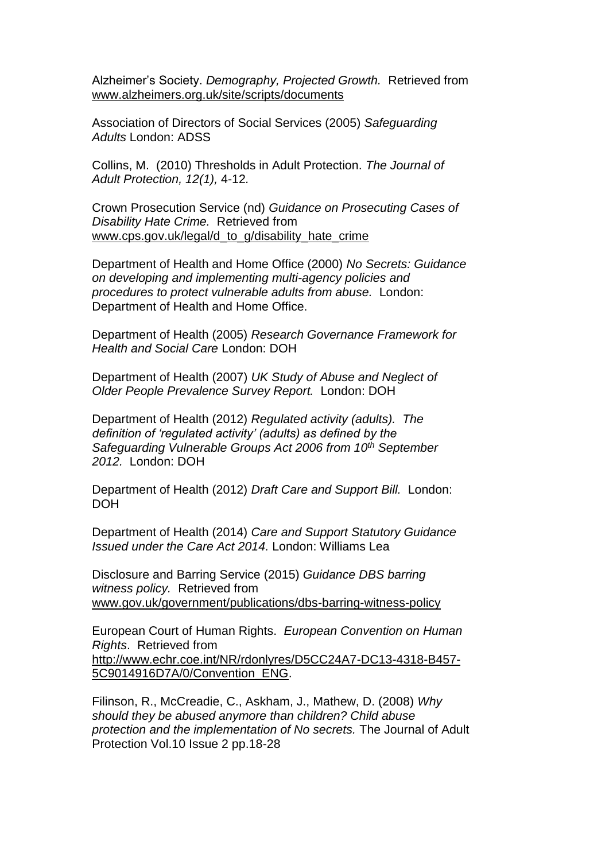Alzheimer's Society. *Demography, Projected Growth.* Retrieved from [www.alzheimers.org.uk/site/scripts/documents](http://www.alzheimers.org.uk/site/scripts/documents)

Association of Directors of Social Services (2005) *Safeguarding Adults* London: ADSS

Collins, M. (2010) Thresholds in Adult Protection. *The Journal of Adult Protection, 12(1),* 4-12*.*

Crown Prosecution Service (nd) *Guidance on Prosecuting Cases of Disability Hate Crime.* Retrieved from [www.cps.gov.uk/legal/d\\_to\\_g/disability\\_hate\\_crime](http://www.cps.gov.uk/legal/d_to_g/disability_hate_crime)

Department of Health and Home Office (2000) *No Secrets: Guidance on developing and implementing multi-agency policies and procedures to protect vulnerable adults from abuse.* London: Department of Health and Home Office.

Department of Health (2005) *Research Governance Framework for Health and Social Care* London: DOH

Department of Health (2007) *UK Study of Abuse and Neglect of Older People Prevalence Survey Report.* London: DOH

Department of Health (2012) *Regulated activity (adults). The definition of 'regulated activity' (adults) as defined by the Safeguarding Vulnerable Groups Act 2006 from 10th September 2012.* London: DOH

Department of Health (2012) *Draft Care and Support Bill.* London: DOH

Department of Health (2014) *Care and Support Statutory Guidance Issued under the Care Act 2014.* London: Williams Lea

Disclosure and Barring Service (2015) *Guidance DBS barring witness policy.* Retrieved from [www.gov.uk/government/publications/dbs-barring-witness-policy](http://www.gov.uk/government/publications/dbs-barring-witness-policy)

European Court of Human Rights. *European Convention on Human Rights*. Retrieved from [http://www.echr.coe.int/NR/rdonlyres/D5CC24A7-DC13-4318-B457-](http://www.echr.coe.int/NR/rdonlyres/D5CC24A7-DC13-4318-B457-5C9014916D7A/0/Convention_ENG) [5C9014916D7A/0/Convention\\_ENG.](http://www.echr.coe.int/NR/rdonlyres/D5CC24A7-DC13-4318-B457-5C9014916D7A/0/Convention_ENG)

Filinson, R., McCreadie, C., Askham, J., Mathew, D. (2008) *Why should they be abused anymore than children? Child abuse protection and the implementation of No secrets.* The Journal of Adult Protection Vol.10 Issue 2 pp.18-28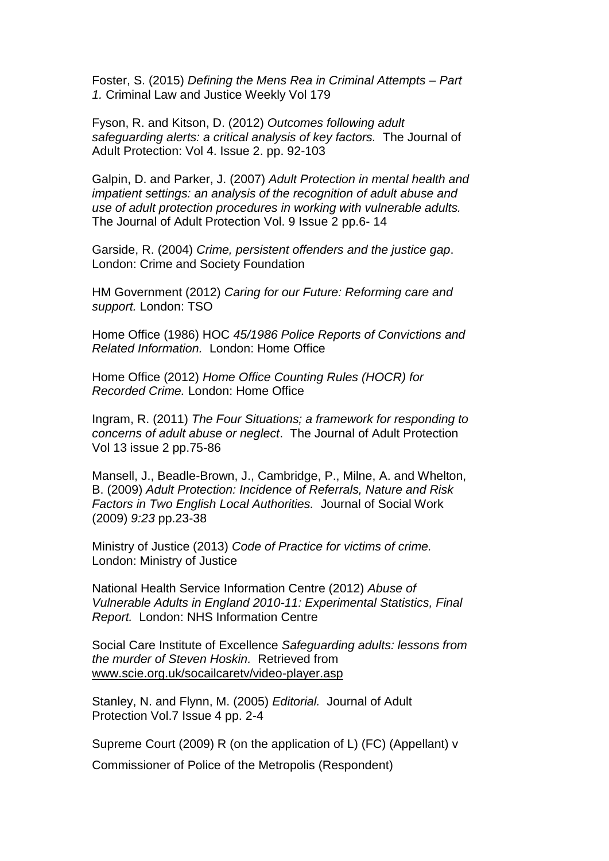Foster, S. (2015) *Defining the Mens Rea in Criminal Attempts – Part 1.* Criminal Law and Justice Weekly Vol 179

Fyson, R. and Kitson, D. (2012) *Outcomes following adult safeguarding alerts: a critical analysis of key factors.* The Journal of Adult Protection: Vol 4. Issue 2. pp. 92-103

Galpin, D. and Parker, J. (2007) *Adult Protection in mental health and impatient settings: an analysis of the recognition of adult abuse and use of adult protection procedures in working with vulnerable adults.*  The Journal of Adult Protection Vol. 9 Issue 2 pp.6- 14

Garside, R. (2004) *Crime, persistent offenders and the justice gap*. London: Crime and Society Foundation

HM Government (2012) *Caring for our Future: Reforming care and support.* London: TSO

Home Office (1986) HOC *45/1986 Police Reports of Convictions and Related Information.* London: Home Office

Home Office (2012) *Home Office Counting Rules (HOCR) for Recorded Crime.* London: Home Office

Ingram, R. (2011) *The Four Situations; a framework for responding to concerns of adult abuse or neglect*. The Journal of Adult Protection Vol 13 issue 2 pp.75-86

Mansell, J., Beadle-Brown, J., Cambridge, P., Milne, A. and Whelton, B. (2009) *Adult Protection: Incidence of Referrals, Nature and Risk Factors in Two English Local Authorities.* Journal of Social Work (2009) *9:23* pp.23-38

Ministry of Justice (2013) *Code of Practice for victims of crime.*  London: Ministry of Justice

National Health Service Information Centre (2012) *Abuse of Vulnerable Adults in England 2010-11: Experimental Statistics, Final Report.* London: NHS Information Centre

Social Care Institute of Excellence *Safeguarding adults: lessons from the murder of Steven Hoskin.* Retrieved from [www.scie.org.uk/socailcaretv/video-player.asp](http://www.scie.org.uk/socailcaretv/video-player.asp)

Stanley, N. and Flynn, M. (2005) *Editorial.* Journal of Adult Protection Vol.7 Issue 4 pp. 2-4

Supreme Court (2009) R (on the application of L) (FC) (Appellant) v

Commissioner of Police of the Metropolis (Respondent)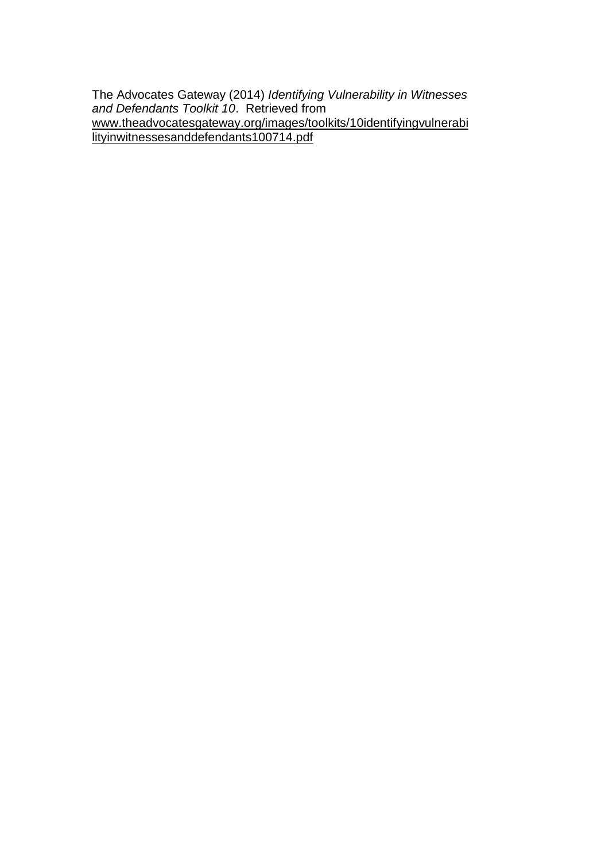The Advocates Gateway (2014) *Identifying Vulnerability in Witnesses and Defendants Toolkit 10*. Retrieved from [www.theadvocatesgateway.org/images/toolkits/10identifyingvulnerabi](http://www.theadvocatesgateway.org/images/toolkits/10identifyingvulnerabilityinwitnessesanddefendants100714.pdf) [lityinwitnessesanddefendants100714.pdf](http://www.theadvocatesgateway.org/images/toolkits/10identifyingvulnerabilityinwitnessesanddefendants100714.pdf)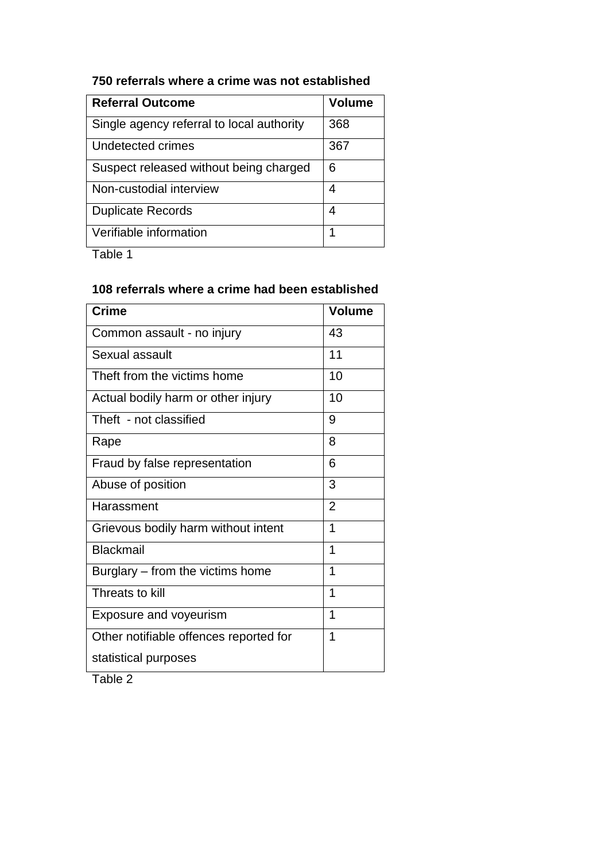| <b>Referral Outcome</b>                   | <b>Volume</b> |
|-------------------------------------------|---------------|
| Single agency referral to local authority | 368           |
| Undetected crimes                         | 367           |
| Suspect released without being charged    | 6             |
| Non-custodial interview                   | 4             |
| <b>Duplicate Records</b>                  | 4             |
| Verifiable information                    |               |

# **750 referrals where a crime was not established**

Table 1

## **108 referrals where a crime had been established**

| <b>Crime</b>                           | <b>Volume</b>  |
|----------------------------------------|----------------|
| Common assault - no injury             | 43             |
| <b>Sexual assault</b>                  | 11             |
| Theft from the victims home            | 10             |
| Actual bodily harm or other injury     | 10             |
| Theft - not classified                 | 9              |
| Rape                                   | 8              |
| Fraud by false representation          | 6              |
| Abuse of position                      | 3              |
| Harassment                             | $\overline{2}$ |
| Grievous bodily harm without intent    | 1              |
| <b>Blackmail</b>                       | 1              |
| Burglary – from the victims home       | 1              |
| Threats to kill                        | 1              |
| <b>Exposure and voyeurism</b>          | 1              |
| Other notifiable offences reported for | 1              |
| statistical purposes                   |                |

Table 2